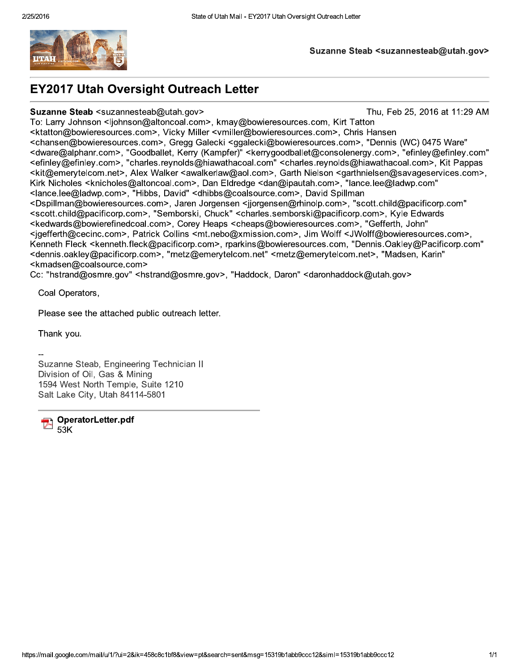

#### Suzanne Steab <suzannesteab@utah.gov>

## **EY2017 Utah Oversight Outreach Letter**

#### Suzanne Steab <suzannesteab@utah.gov>

Thu, Feb 25, 2016 at 11:29 AM

To: Larry Johnson <ljohnson@altoncoal.com>, kmay@bowieresources.com, Kirt Tatton <ktatton@bowieresources.com>, Vicky Miller <vmiller@bowieresources.com>, Chris Hansen <chansen@bowieresources.com>, Gregg Galecki <ggalecki@bowieresources.com>, "Dennis (WC) 0475 Ware" <dware@alphanr.com>, "Goodballet, Kerry (Kampfer)" <kerrygoodballet@consolenergy.com>, "efinley@efinley.com" <efinley@efinley.com>, "charles.reynolds@hiawathacoal.com" <charles.reynolds@hiawathacoal.com>, Kit Pappas <kit@emerytelcom.net>, Alex Walker <awalkerlaw@aol.com>, Garth Nielson <garthnielsen@savageservices.com>, Kirk Nicholes <knicholes@altoncoal.com>, Dan Eldredge <dan@ipautah.com>, "lance.lee@ladwp.com" <lance.lee@ladwp.com>, "Hibbs, David" <dhibbs@coalsource.com>, David Spillman <Dspillman@bowieresources.com>, Jaren Jorgensen <ijorgensen@rhinolp.com>, "scott.child@pacificorp.com" <scott.child@pacificorp.com>, "Semborski, Chuck" <charles.semborski@pacificorp.com>, Kyle Edwards <kedwards@bowierefinedcoal.com>, Corey Heaps <cheaps@bowieresources.com>, "Gefferth, John" <igefferth@cecinc.com>, Patrick Collins <mt.nebo@xmission.com>, Jim Wolff <JWolff@bowieresources.com>, Kenneth Fleck <kenneth.fleck@pacificorp.com>, rparkins@bowieresources.com, "Dennis.Oakley@Pacificorp.com" <dennis.oakley@pacificorp.com>, "rnetz@emerytelcom.net" <rnetz@emerytelcom.net>, "Madsen, Karin" <kmadsen@coalsource.com>

Cc: "hstrand@osmre.gov" <hstrand@osmre.gov>, "Haddock, Daron" <daronhaddock@utah.gov>

Coal Operators,

Please see the attached public outreach letter.

Thank you.

Suzanne Steab, Engineering Technician II Division of Oil, Gas & Mining 1594 West North Temple, Suite 1210 Salt Lake City, Utah 84114-5801

OperatorLetter.pdf  $53K$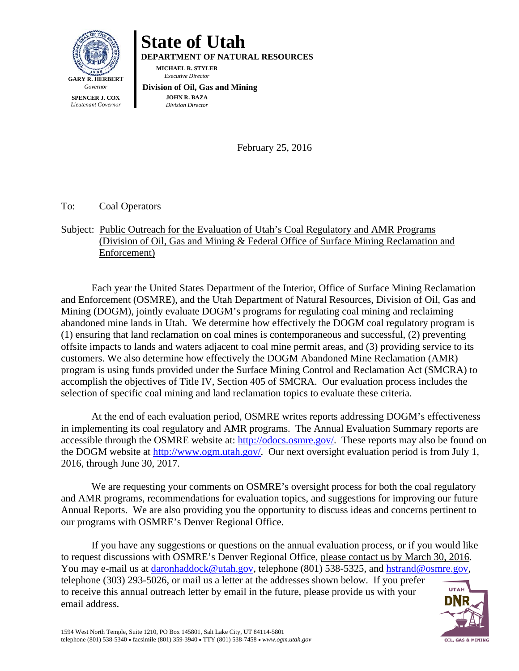

# **State of Utah**

**DEPARTMENT OF NATURAL RESOURCES** 

**MICHAEL R. STYLER**   *Executive Director* 

 **Division of Oil, Gas and Mining JOHN R. BAZA**  *Division Director*

February 25, 2016

To: Coal Operators

### Subject: Public Outreach for the Evaluation of Utah's Coal Regulatory and AMR Programs (Division of Oil, Gas and Mining & Federal Office of Surface Mining Reclamation and Enforcement)

Each year the United States Department of the Interior, Office of Surface Mining Reclamation and Enforcement (OSMRE), and the Utah Department of Natural Resources, Division of Oil, Gas and Mining (DOGM), jointly evaluate DOGM's programs for regulating coal mining and reclaiming abandoned mine lands in Utah. We determine how effectively the DOGM coal regulatory program is (1) ensuring that land reclamation on coal mines is contemporaneous and successful, (2) preventing offsite impacts to lands and waters adjacent to coal mine permit areas, and (3) providing service to its customers. We also determine how effectively the DOGM Abandoned Mine Reclamation (AMR) program is using funds provided under the Surface Mining Control and Reclamation Act (SMCRA) to accomplish the objectives of Title IV, Section 405 of SMCRA. Our evaluation process includes the selection of specific coal mining and land reclamation topics to evaluate these criteria.

At the end of each evaluation period, OSMRE writes reports addressing DOGM's effectiveness in implementing its coal regulatory and AMR programs. The Annual Evaluation Summary reports are accessible through the OSMRE website at: http://odocs.osmre.gov/. These reports may also be found on the DOGM website at http://www.ogm.utah.gov/. Our next oversight evaluation period is from July 1, 2016, through June 30, 2017.

We are requesting your comments on OSMRE's oversight process for both the coal regulatory and AMR programs, recommendations for evaluation topics, and suggestions for improving our future Annual Reports. We are also providing you the opportunity to discuss ideas and concerns pertinent to our programs with OSMRE's Denver Regional Office.

If you have any suggestions or questions on the annual evaluation process, or if you would like to request discussions with OSMRE's Denver Regional Office, please contact us by March 30, 2016. You may e-mail us at daronhaddock@utah.gov, telephone (801) 538-5325, and hstrand@osmre.gov, telephone (303) 293-5026, or mail us a letter at the addresses shown below. If you prefer **UTAH** to receive this annual outreach letter by email in the future, please provide us with your email address.